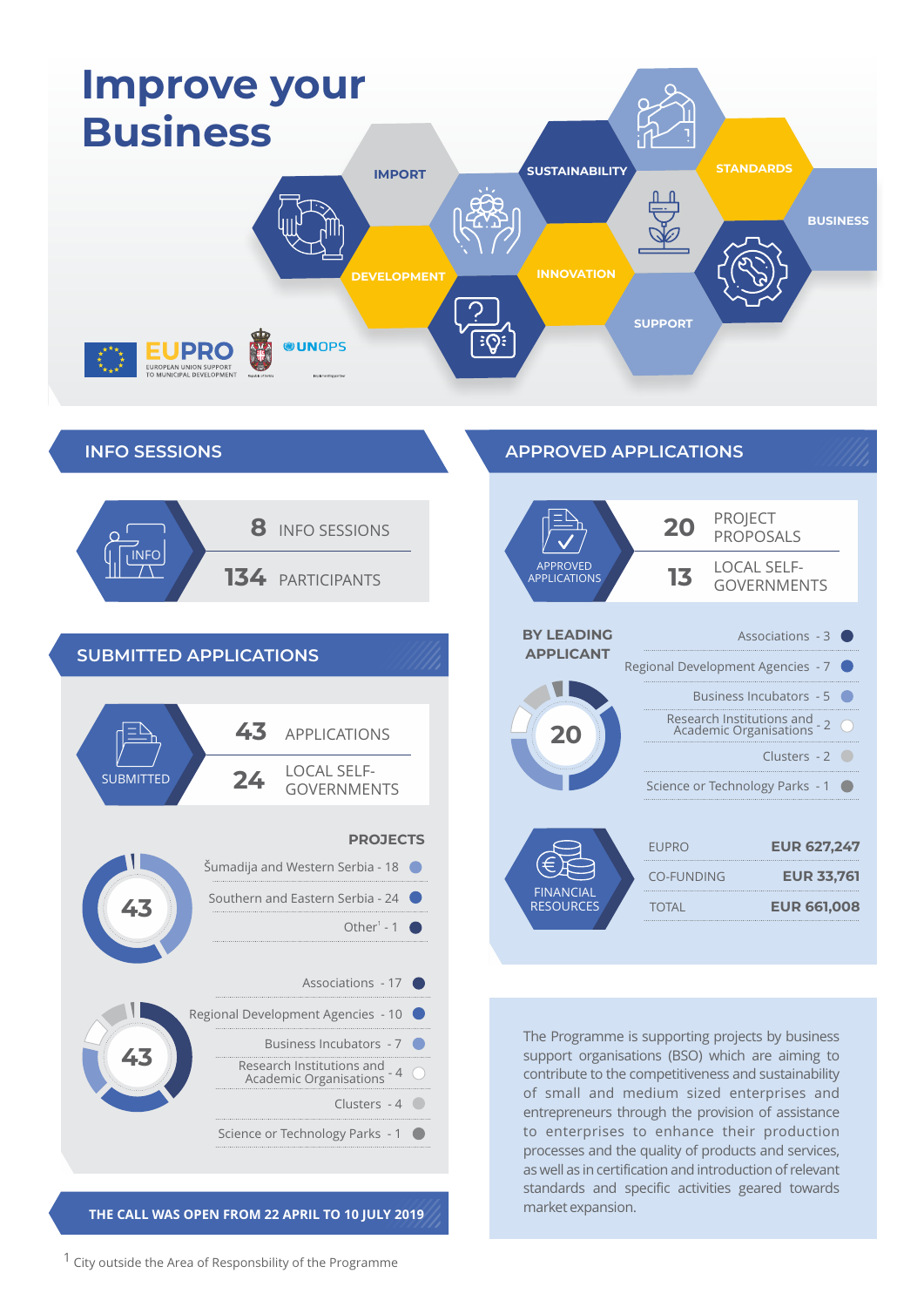







**THE CALL WAS OPEN FROM 22 APRIL TO 10 JULY 2019**

**APPROVED APPLICATIONS**



The Programme is supporting projects by business support organisations (BSO) which are aiming to contribute to the competitiveness and sustainability of small and medium sized enterprises and entrepreneurs through the provision of assistance to enterprises to enhance their production processes and the quality of products and services, as well as in certification and introduction of relevant standards and specific activities geared towards market expansion.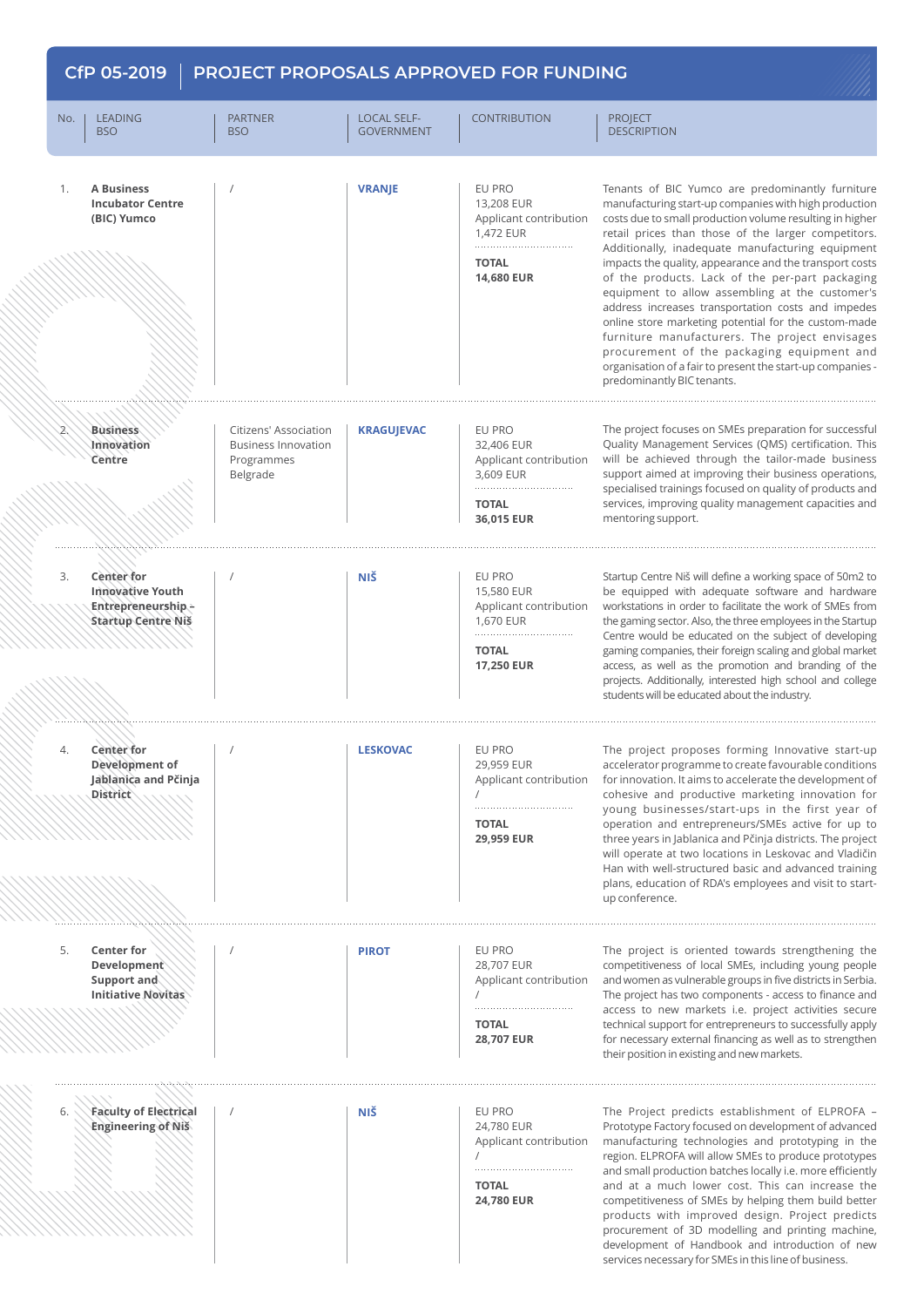## **CfP 05-2019 PROJECT PROPOSALS APPROVED FOR FUNDING**No. I LEADING THE PARTNER LEADING LOCAL SELF-CONTRIBUTION PROJECT GOVERNMENT **DESCRIPTION BSO BSO** EU PRO **A Business VRANJE** Tenants of BIC Yumco are predominantly furniture 1. / **Incubator Centre**  13,208 EUR manufacturing start-up companies with high production **(BIC) Yumco** Applicant contribution costs due to small production volume resulting in higher retail prices than those of the larger competitors. 1,472 EUR . . . . . . . . . . . . . . . . . . Additionally, inadequate manufacturing equipment **TOTAL** impacts the quality, appearance and the transport costs **14,680 EUR**  of the products. Lack of the per-part packaging equipment to allow assembling at the customer's address increases transportation costs and impedes online store marketing potential for the custom-made furniture manufacturers. The project envisages procurement of the packaging equipment and organisation of a fair to present the start-up companies predominantly BIC tenants. 2. **Business**  Citizens' Association **KRAGUJEVAC** EU PRO The project focuses on SMEs preparation for successful **Innovation** Business Innovation 32,406 EUR Quality Management Services (QMS) certification. This **Centre** Programmes Applicant contribution will be achieved through the tailor-made business Belgrade 3,609 EUR support aimed at improving their business operations, specialised trainings focused on quality of products and **TOTAL** services, improving quality management capacities and **36,015 EUR**  mentoring support. **NIŠ** EU PRO Startup Centre Niš will define a working space of 50m2 to **Center for** 3. / **Innovative Youth**  15,580 EUR be equipped with adequate software and hardware workstations in order to facilitate the work of SMEs from **Entrepreneurship –**  Applicant contribution 1,670 EUR the gaming sector. Also, the three employees in the Startup **Startup Centre Niš** Centre would be educated on the subject of developing **TOTAL** gaming companies, their foreign scaling and global market **17,250 EUR**  access, as well as the promotion and branding of the projects. Additionally, interested high school and college students will be educated about the industry. 4. **Center for LESKOVAC** EU PRO The project proposes forming Innovative start-up / accelerator programme to create favourable conditions **Development of**  29,959 EUR **Jablanica and Pčinja**  Applicant contribution for innovation. It aims to accelerate the development of **District** cohesive and productive marketing innovation for / . . . . . . . . . . . . . . . . . young businesses/start-ups in the first year of **TOTAL** operation and entrepreneurs/SMEs active for up to **29,959 EUR**  three years in Jablanica and Pčinja districts. The project will operate at two locations in Leskovac and Vladičin Han with well-structured basic and advanced training plans, education of RDA's employees and visit to startup conference. 5. **Center for**  EU PRO The project is oriented towards strengthening the **PIROT** / **Development**  28,707 EUR competitiveness of local SMEs, including young people **Support and**  Applicant contribution and women as vulnerable groups in five districts in Serbia. **Initiative Novitas** The project has two components - access to finance and / . . . . . . . . . . . . . . . . . . . access to new markets i.e. project activities secure **TOTAL** technical support for entrepreneurs to successfully apply **28,707 EUR**  for necessary external financing as well as to strengthen their position in existing and new markets. **Faculty of Electrical NIŠ** EU PRO The Project predicts establishment of ELPROFA – 6. / **Engineering of Niš** 24,780 EUR Prototype Factory focused on development of advanced Applicant contribution manufacturing technologies and prototyping in the region. ELPROFA will allow SMEs to produce prototypes / and small production batches locally i.e. more efficiently **TOTAL** and at a much lower cost. This can increase the **24,780 EUR**  competitiveness of SMEs by helping them build better products with improved design. Project predicts procurement of 3D modelling and printing machine,

development of Handbook and introduction of new services necessary for SMEs in this line of business.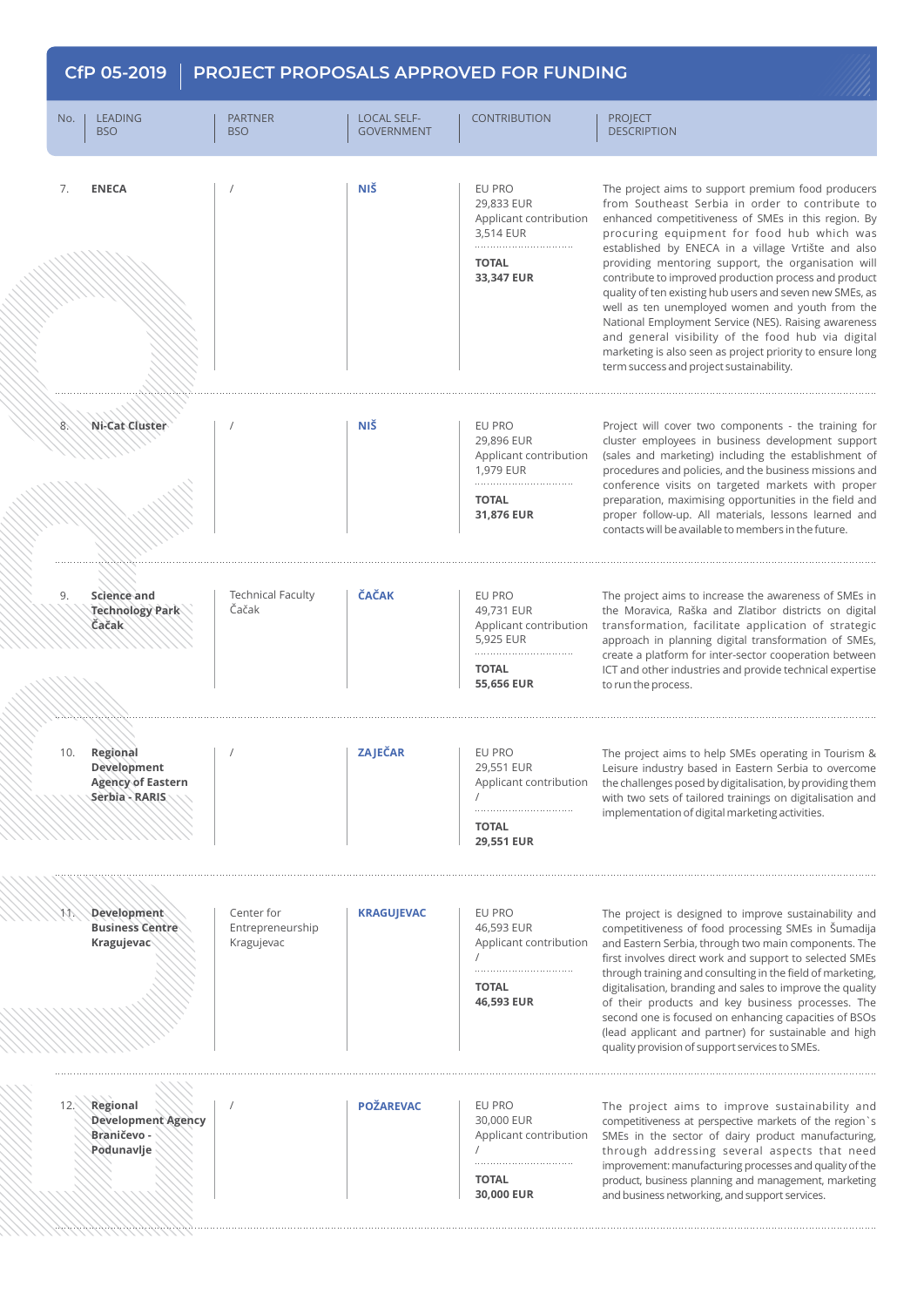| No. | <b>LEADING</b>                                      | <b>PARTNER</b>                               | <b>LOCAL SELF-</b> | <b>CONTRIBUTION</b>                                                             | <b>PROJECT</b>                                                                                                                                                                                                                                                                                                                                                                                                                                                                                                                                                                                                                                                                                                        |
|-----|-----------------------------------------------------|----------------------------------------------|--------------------|---------------------------------------------------------------------------------|-----------------------------------------------------------------------------------------------------------------------------------------------------------------------------------------------------------------------------------------------------------------------------------------------------------------------------------------------------------------------------------------------------------------------------------------------------------------------------------------------------------------------------------------------------------------------------------------------------------------------------------------------------------------------------------------------------------------------|
|     | <b>BSO</b>                                          | <b>BSO</b>                                   | <b>GOVERNMENT</b>  |                                                                                 | <b>DESCRIPTION</b>                                                                                                                                                                                                                                                                                                                                                                                                                                                                                                                                                                                                                                                                                                    |
| 7.  | <b>ENECA</b>                                        |                                              | <b>NIŠ</b>         | EU PRO                                                                          | The project aims to support premium food producers<br>from Southeast Serbia in order to contribute to<br>enhanced competitiveness of SMEs in this region. By<br>procuring equipment for food hub which was<br>established by ENECA in a village Vrtište and also<br>providing mentoring support, the organisation will<br>contribute to improved production process and product<br>quality of ten existing hub users and seven new SMEs, as<br>well as ten unemployed women and youth from the<br>National Employment Service (NES). Raising awareness<br>and general visibility of the food hub via digital<br>marketing is also seen as project priority to ensure long<br>term success and project sustainability. |
|     |                                                     |                                              |                    | 29,833 EUR<br>Applicant contribution<br>3,514 EUR                               |                                                                                                                                                                                                                                                                                                                                                                                                                                                                                                                                                                                                                                                                                                                       |
|     |                                                     |                                              |                    | <b>TOTAL</b><br>33,347 EUR                                                      |                                                                                                                                                                                                                                                                                                                                                                                                                                                                                                                                                                                                                                                                                                                       |
|     |                                                     |                                              |                    |                                                                                 |                                                                                                                                                                                                                                                                                                                                                                                                                                                                                                                                                                                                                                                                                                                       |
| 8.  | Ni-Cat Cluster                                      |                                              | <b>NIŠ</b>         | EU PRO                                                                          | Project will cover two components - the training for                                                                                                                                                                                                                                                                                                                                                                                                                                                                                                                                                                                                                                                                  |
|     |                                                     |                                              |                    | 29,896 EUR<br>Applicant contribution<br>1,979 EUR                               | cluster employees in business development support<br>(sales and marketing) including the establishment of<br>procedures and policies, and the business missions and<br>conference visits on targeted markets with proper<br>preparation, maximising opportunities in the field and<br>proper follow-up. All materials, lessons learned and<br>contacts will be available to members in the future.                                                                                                                                                                                                                                                                                                                    |
|     |                                                     |                                              |                    | <b>TOTAL</b><br>31,876 EUR                                                      |                                                                                                                                                                                                                                                                                                                                                                                                                                                                                                                                                                                                                                                                                                                       |
| 9.  | Science and                                         | <b>Technical Faculty</b>                     | <b>ČAČAK</b>       | EU PRO                                                                          | The project aims to increase the awareness of SMEs in                                                                                                                                                                                                                                                                                                                                                                                                                                                                                                                                                                                                                                                                 |
|     | Technology Park<br>Čačak                            | Čačak                                        |                    | 49,731 EUR<br>Applicant contribution<br>5,925 EUR<br><b>TOTAL</b><br>55,656 EUR | the Moravica, Raška and Zlatibor districts on digital<br>transformation, facilitate application of strategic<br>approach in planning digital transformation of SMEs,<br>create a platform for inter-sector cooperation between<br>ICT and other industries and provide technical expertise<br>to run the process.                                                                                                                                                                                                                                                                                                                                                                                                     |
| 10. | Regional<br>Development                             |                                              | ZAJEČAR            | EU PRO<br>29,551 EUR                                                            | The project aims to help SMEs operating in Tourism &<br>Leisure industry based in Eastern Serbia to overcome<br>the challenges posed by digitalisation, by providing them<br>with two sets of tailored trainings on digitalisation and<br>implementation of digital marketing activities.                                                                                                                                                                                                                                                                                                                                                                                                                             |
|     | <b>Agency of Eastern</b><br>Serbia - RARIS          |                                              |                    | Applicant contribution                                                          |                                                                                                                                                                                                                                                                                                                                                                                                                                                                                                                                                                                                                                                                                                                       |
|     |                                                     |                                              |                    | <b>TOTAL</b><br>29,551 EUR                                                      |                                                                                                                                                                                                                                                                                                                                                                                                                                                                                                                                                                                                                                                                                                                       |
|     |                                                     |                                              |                    |                                                                                 |                                                                                                                                                                                                                                                                                                                                                                                                                                                                                                                                                                                                                                                                                                                       |
| W.  | Development<br><b>Business Centre</b><br>Kragujevac | Center for<br>Entrepreneurship<br>Kragujevac | <b>KRAGUJEVAC</b>  | EU PRO<br>46,593 EUR<br>Applicant contribution                                  | The project is designed to improve sustainability and<br>competitiveness of food processing SMEs in Šumadija<br>and Eastern Serbia, through two main components. The<br>first involves direct work and support to selected SMEs<br>through training and consulting in the field of marketing,<br>digitalisation, branding and sales to improve the quality<br>of their products and key business processes. The<br>second one is focused on enhancing capacities of BSOs<br>(lead applicant and partner) for sustainable and high<br>quality provision of support services to SMEs.                                                                                                                                   |
|     |                                                     |                                              |                    | <b>TOTAL</b>                                                                    |                                                                                                                                                                                                                                                                                                                                                                                                                                                                                                                                                                                                                                                                                                                       |
|     |                                                     |                                              |                    | 46,593 EUR                                                                      |                                                                                                                                                                                                                                                                                                                                                                                                                                                                                                                                                                                                                                                                                                                       |
| 12. | Regional                                            |                                              | <b>POŽAREVAC</b>   | EU PRO                                                                          | The project aims to improve sustainability and                                                                                                                                                                                                                                                                                                                                                                                                                                                                                                                                                                                                                                                                        |
|     | Development Agency<br>Braničevo -<br>Podunavlje     |                                              |                    | 30,000 EUR<br>Applicant contribution                                            | competitiveness at perspective markets of the region's<br>SMEs in the sector of dairy product manufacturing,<br>through addressing several aspects that need<br>improvement: manufacturing processes and quality of the<br>product, business planning and management, marketing<br>and business networking, and support services.                                                                                                                                                                                                                                                                                                                                                                                     |
|     |                                                     |                                              |                    | <b>TOTAL</b>                                                                    |                                                                                                                                                                                                                                                                                                                                                                                                                                                                                                                                                                                                                                                                                                                       |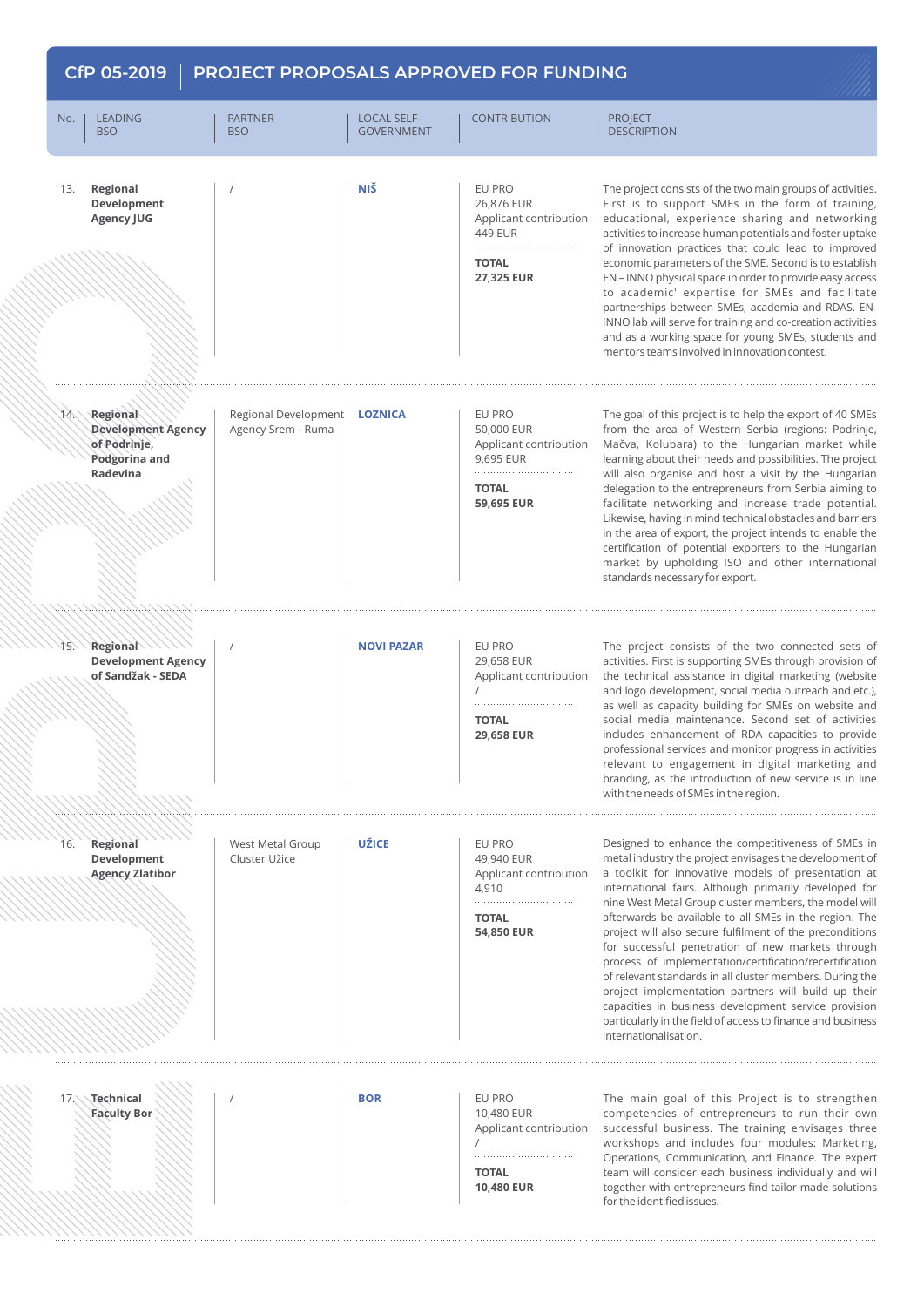## **CfP 05-2019 PROJECT PROPOSALS APPROVED FOR FUNDING**No. I LEADING THE PARTNER LEADING LOCAL SELF-CONTRIBUTION PROJECT B<sub>SO</sub> GOVERNMENT DESCRIPTION **BSO NIŠ** EU PRO 13. **Regional**  The project consists of the two main groups of activities. / **Development**  26,876 EUR First is to support SMEs in the form of training, **Agency JUG** Applicant contribution educational, experience sharing and networking activities to increase human potentials and foster uptake 449 EUR of innovation practices that could lead to improved **TOTAL** economic parameters of the SME. Second is to establish **27,325 EUR**  EN – INNO physical space in order to provide easy access to academic' expertise for SMEs and facilitate partnerships between SMEs, academia and RDAS. EN-INNO lab will serve for training and co-creation activities and as a working space for young SMEs, students and mentors teams involved in innovation contest. EU PRO The goal of this project is to help the export of 40 SMEs Regional Development **LOZNICA** 14. **Regional**  from the area of Western Serbia (regions: Podrinje, **Development Agency**  Agency Srem - Ruma 50,000 EUR Mačva, Kolubara) to the Hungarian market while **of Podrinje,**  Applicant contribution learning about their needs and possibilities. The project **Podgorina and**  9,695 EUR **Rađevina** will also organise and host a visit by the Hungarian **TOTAL** delegation to the entrepreneurs from Serbia aiming to **59,695 EUR**  facilitate networking and increase trade potential. Likewise, having in mind technical obstacles and barriers in the area of export, the project intends to enable the certification of potential exporters to the Hungarian market by upholding ISO and other international standards necessary for export. 15. **NOVI PAZAR** EU PRO The project consists of the two connected sets of **Regional**  / **Development Agency**  29,658 EUR activities. First is supporting SMEs through provision of **of Sandžak - SEDA** Applicant contribution the technical assistance in digital marketing (website and logo development, social media outreach and etc.), / as well as capacity building for SMEs on website and . . . . . . . . . . . . . **TOTAL** social media maintenance. Second set of activities **29,658 EUR**  includes enhancement of RDA capacities to provide professional services and monitor progress in activities relevant to engagement in digital marketing and branding, as the introduction of new service is in line with the needs of SMEs in the region. 16. **Regional**  West Metal Group **UŽICE** EU PRO Designed to enhance the competitiveness of SMEs in **Development**  Cluster Užice 49,940 EUR metal industry the project envisages the development of **Agency Zlatibor** Applicant contribution a toolkit for innovative models of presentation at 4,910 international fairs. Although primarily developed for nine West Metal Group cluster members, the model will **TOTAL** afterwards be available to all SMEs in the region. The **54,850 EUR**  project will also secure fulfilment of the preconditions for successful penetration of new markets through process of implementation/certification/recertification of relevant standards in all cluster members. During the project implementation partners will build up their capacities in business development service provision particularly in the field of access to finance and business internationalisation. **Technical BOR** EU PRO The main goal of this Project is to strengthen 17. / **Faculty Bor** 10,480 EUR competencies of entrepreneurs to run their own successful business. The training envisages three Applicant contribution workshops and includes four modules: Marketing, / Operations, Communication, and Finance. The expert **TOTAL** team will consider each business individually and will **10,480 EUR**  together with entrepreneurs find tailor-made solutions

for the identified issues.